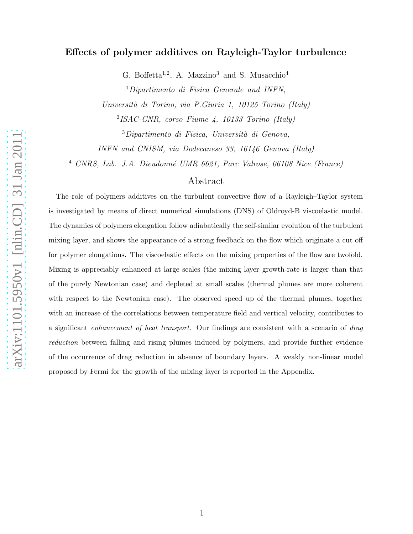# Effects of polymer additives on Rayleigh-Taylor turbulence

G. Boffetta<sup>1,2</sup>, A. Mazzino<sup>3</sup> and S. Musacchio<sup>4</sup>

<sup>1</sup>Dipartimento di Fisica Generale and INFN,

Universit`a di Torino, via P.Giuria 1, 10125 Torino (Italy)

2 ISAC-CNR, corso Fiume 4, 10133 Torino (Italy)

 $3$ Dipartimento di Fisica, Università di Genova,

INFN and CNISM, via Dodecaneso 33, 16146 Genova (Italy)

<sup>4</sup> CNRS, Lab. J.A. Dieudonné UMR 6621, Parc Valrose, 06108 Nice (France)

# Abstract

The role of polymers additives on the turbulent convective flow of a Rayleigh–Taylor system is investigated by means of direct numerical simulations (DNS) of Oldroyd-B viscoelastic model. The dynamics of polymers elongation follow adiabatically the self-similar evolution of the turbulent mixing layer, and shows the appearance of a strong feedback on the flow which originate a cut off for polymer elongations. The viscoelastic effects on the mixing properties of the flow are twofold. Mixing is appreciably enhanced at large scales (the mixing layer growth-rate is larger than that of the purely Newtonian case) and depleted at small scales (thermal plumes are more coherent with respect to the Newtonian case). The observed speed up of the thermal plumes, together with an increase of the correlations between temperature field and vertical velocity, contributes to a significant enhancement of heat transport. Our findings are consistent with a scenario of drag reduction between falling and rising plumes induced by polymers, and provide further evidence of the occurrence of drag reduction in absence of boundary layers. A weakly non-linear model proposed by Fermi for the growth of the mixing layer is reported in the Appendix.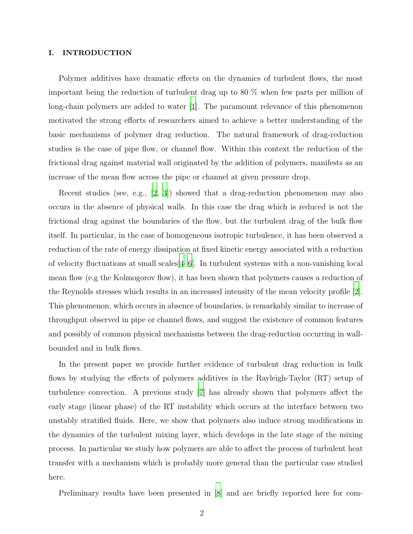# I. INTRODUCTION

Polymer additives have dramatic effects on the dynamics of turbulent flows, the most important being the reduction of turbulent drag up to 80 % when few parts per million of long-chain polymers are added to water [\[1\]](#page-17-0). The paramount relevance of this phenomenon motivated the strong efforts of researchers aimed to achieve a better understanding of the basic mechanisms of polymer drag reduction. The natural framework of drag-reduction studies is the case of pipe flow, or channel flow. Within this context the reduction of the frictional drag against material wall originated by the addition of polymers, manifests as an increase of the mean flow across the pipe or channel at given pressure drop.

Recent studies (see, e.g., [\[2,](#page-17-1) [3\]](#page-17-2)) showed that a drag-reduction phenomenon may also occurs in the absence of physical walls. In this case the drag which is reduced is not the frictional drag against the boundaries of the flow, but the turbulent drag of the bulk flow itself. In particular, in the case of homogeneous isotropic turbulence, it has been observed a reduction of the rate of energy dissipation at fixed kinetic energy associated with a reduction of velocity fluctuations at small scales[\[4](#page-17-3)[–6\]](#page-17-4). In turbulent systems with a non-vanishing local mean flow (e.g the Kolmogorov flow), it has been shown that polymers causes a reduction of the Reynolds stresses which results in an increased intensity of the mean velocity profile [\[2\]](#page-17-1). This phenomenon, which occurs in absence of boundaries, is remarkably similar to increase of throughput observed in pipe or channel flows, and suggest the existence of common features and possibly of common physical mechanisms between the drag-reduction occurring in wallbounded and in bulk flows.

In the present paper we provide further evidence of turbulent drag reduction in bulk flows by studying the effects of polymers additives in the Rayleigh-Taylor (RT) setup of turbulence convection. A previous study [\[7](#page-18-0)] has already shown that polymers affect the early stage (linear phase) of the RT instability which occurs at the interface between two unstably stratified fluids. Here, we show that polymers also induce strong modifications in the dynamics of the turbulent mixing layer, which develops in the late stage of the mixing process. In particular we study how polymers are able to affect the process of turbulent heat transfer with a mechanism which is probably more general than the particular case studied here.

Preliminary results have been presented in [\[8](#page-18-1)] and are briefly reported here for com-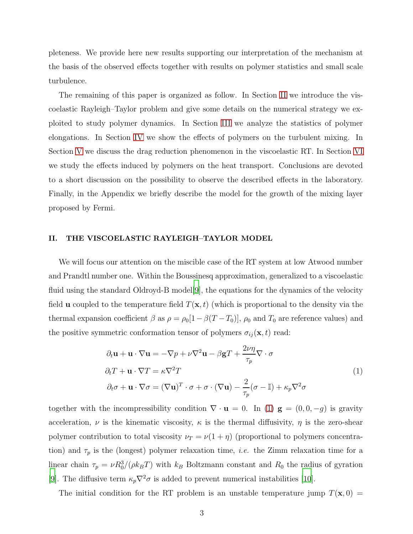pleteness. We provide here new results supporting our interpretation of the mechanism at the basis of the observed effects together with results on polymer statistics and small scale turbulence.

The remaining of this paper is organized as follow. In Section [II](#page-2-0) we introduce the viscoelastic Rayleigh–Taylor problem and give some details on the numerical strategy we exploited to study polymer dynamics. In Section [III](#page-3-0) we analyze the statistics of polymer elongations. In Section [IV](#page-6-0) we show the effects of polymers on the turbulent mixing. In Section [V](#page-8-0) we discuss the drag reduction phenomenon in the viscoelastic RT. In Section [VI](#page-12-0) we study the effects induced by polymers on the heat transport. Conclusions are devoted to a short discussion on the possibility to observe the described effects in the laboratory. Finally, in the Appendix we briefly describe the model for the growth of the mixing layer proposed by Fermi.

### <span id="page-2-0"></span>II. THE VISCOELASTIC RAYLEIGH–TAYLOR MODEL

We will focus our attention on the miscible case of the RT system at low Atwood number and Prandtl number one. Within the Boussinesq approximation, generalized to a viscoelastic fluid using the standard Oldroyd-B model[\[9\]](#page-18-2), the equations for the dynamics of the velocity field **u** coupled to the temperature field  $T(\mathbf{x}, t)$  (which is proportional to the density via the thermal expansion coefficient  $\beta$  as  $\rho = \rho_0[1-\beta(T-T_0)], \rho_0$  and  $T_0$  are reference values) and the positive symmetric conformation tensor of polymers  $\sigma_{ij}(\mathbf{x}, t)$  read:

<span id="page-2-1"></span>
$$
\partial_t \mathbf{u} + \mathbf{u} \cdot \nabla \mathbf{u} = -\nabla p + \nu \nabla^2 \mathbf{u} - \beta \mathbf{g} T + \frac{2\nu \eta}{\tau_p} \nabla \cdot \sigma
$$
\n
$$
\partial_t T + \mathbf{u} \cdot \nabla T = \kappa \nabla^2 T
$$
\n
$$
\partial_t \sigma + \mathbf{u} \cdot \nabla \sigma = (\nabla \mathbf{u})^T \cdot \sigma + \sigma \cdot (\nabla \mathbf{u}) - \frac{2}{\tau_p} (\sigma - \mathbb{I}) + \kappa_p \nabla^2 \sigma
$$
\n(1)

together with the incompressibility condition  $\nabla \cdot \mathbf{u} = 0$ . In [\(1\)](#page-2-1)  $\mathbf{g} = (0, 0, -g)$  is gravity acceleration,  $\nu$  is the kinematic viscosity,  $\kappa$  is the thermal diffusivity,  $\eta$  is the zero-shear polymer contribution to total viscosity  $\nu_T = \nu(1 + \eta)$  (proportional to polymers concentration) and  $\tau_p$  is the (longest) polymer relaxation time, *i.e.* the Zimm relaxation time for a linear chain  $\tau_p = \nu R_0^3/(\rho k_B T)$  with  $k_B$  Boltzmann constant and  $R_0$  the radius of gyration [\[9](#page-18-2)]. The diffusive term  $\kappa_p \nabla^2 \sigma$  is added to prevent numerical instabilities [\[10\]](#page-18-3).

The initial condition for the RT problem is an unstable temperature jump  $T(\mathbf{x}, 0) =$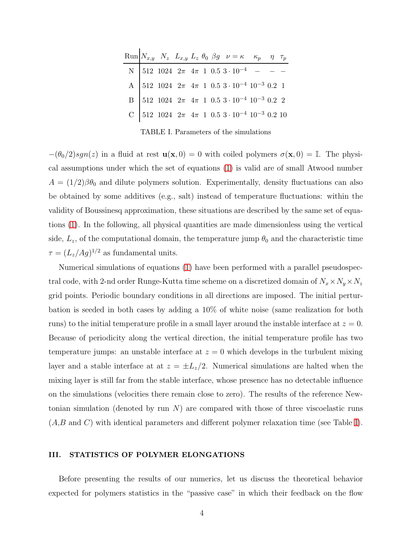|  |  |  | Run $N_{x,y}$ $N_z$ $L_{x,y}$ $L_z$ $\theta_0$ $\beta g$ $\nu = \kappa$ $\kappa_p$ $\eta$ $\tau_p$                                                         |  |  |
|--|--|--|------------------------------------------------------------------------------------------------------------------------------------------------------------|--|--|
|  |  |  | N 512 1024 $2\pi$ $4\pi$ 1 0.5 $3 \cdot 10^{-4}$ - - -                                                                                                     |  |  |
|  |  |  | A 512 1024 $2\pi$ 4 $\pi$ 1 0.5 3 · 10 <sup>-4</sup> 10 <sup>-3</sup> 0.2 1<br>B 512 1024 $2\pi$ 4 $\pi$ 1 0.5 3 · 10 <sup>-4</sup> 10 <sup>-3</sup> 0.2 2 |  |  |
|  |  |  |                                                                                                                                                            |  |  |
|  |  |  |                                                                                                                                                            |  |  |
|  |  |  |                                                                                                                                                            |  |  |

<span id="page-3-1"></span>TABLE I. Parameters of the simulations

 $-(\theta_0/2)sgn(z)$  in a fluid at rest  $\mathbf{u}(\mathbf{x},0) = 0$  with coiled polymers  $\sigma(\mathbf{x},0) = \mathbb{I}$ . The physical assumptions under which the set of equations [\(1\)](#page-2-1) is valid are of small Atwood number  $A = (1/2)\beta\theta_0$  and dilute polymers solution. Experimentally, density fluctuations can also be obtained by some additives (e.g., salt) instead of temperature fluctuations: within the validity of Boussinesq approximation, these situations are described by the same set of equations [\(1\)](#page-2-1). In the following, all physical quantities are made dimensionless using the vertical side,  $L_z$ , of the computational domain, the temperature jump  $\theta_0$  and the characteristic time  $\tau = (L_z/Ag)^{1/2}$  as fundamental units.

Numerical simulations of equations [\(1\)](#page-2-1) have been performed with a parallel pseudospectral code, with 2-nd order Runge-Kutta time scheme on a discretized domain of  $N_x \times N_y \times N_z$ grid points. Periodic boundary conditions in all directions are imposed. The initial perturbation is seeded in both cases by adding a 10% of white noise (same realization for both runs) to the initial temperature profile in a small layer around the instable interface at  $z = 0$ . Because of periodicity along the vertical direction, the initial temperature profile has two temperature jumps: an unstable interface at  $z = 0$  which develops in the turbulent mixing layer and a stable interface at at  $z = \pm L_z/2$ . Numerical simulations are halted when the mixing layer is still far from the stable interface, whose presence has no detectable influence on the simulations (velocities there remain close to zero). The results of the reference Newtonian simulation (denoted by run  $N$ ) are compared with those of three viscoelastic runs  $(A,B \text{ and } C)$  with identical parameters and different polymer relaxation time (see Table [I\)](#page-3-1).

## <span id="page-3-0"></span>III. STATISTICS OF POLYMER ELONGATIONS

Before presenting the results of our numerics, let us discuss the theoretical behavior expected for polymers statistics in the "passive case" in which their feedback on the flow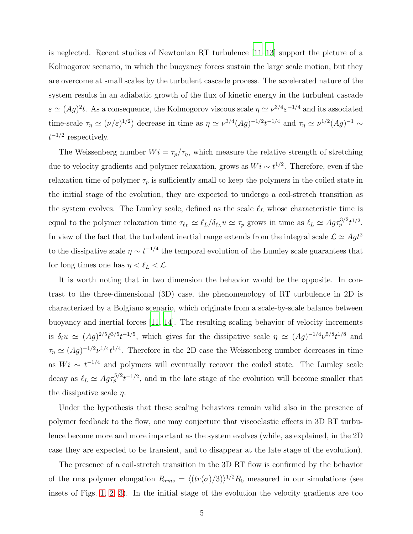is neglected. Recent studies of Newtonian RT turbulence [\[11](#page-18-4)[–13\]](#page-18-5) support the picture of a Kolmogorov scenario, in which the buoyancy forces sustain the large scale motion, but they are overcome at small scales by the turbulent cascade process. The accelerated nature of the system results in an adiabatic growth of the flux of kinetic energy in the turbulent cascade  $\varepsilon \simeq (Ag)^2 t$ . As a consequence, the Kolmogorov viscous scale  $\eta \simeq \nu^{3/4} \varepsilon^{-1/4}$  and its associated time-scale  $\tau_{\eta} \simeq (\nu/\varepsilon)^{1/2}$  decrease in time as  $\eta \simeq \nu^{3/4} (Ag)^{-1/2} t^{-1/4}$  and  $\tau_{\eta} \simeq \nu^{1/2} (Ag)^{-1} \sim$  $t^{-1/2}$  respectively.

The Weissenberg number  $Wi = \tau_p/\tau_\eta$ , which measure the relative strength of stretching due to velocity gradients and polymer relaxation, grows as  $Wi \sim t^{1/2}$ . Therefore, even if the relaxation time of polymer  $\tau_p$  is sufficiently small to keep the polymers in the coiled state in the initial stage of the evolution, they are expected to undergo a coil-stretch transition as the system evolves. The Lumley scale, defined as the scale  $\ell_L$  whose characteristic time is equal to the polymer relaxation time  $\tau_{\ell_L} \simeq \ell_L/\delta_{\ell_L} u \simeq \tau_p$  grows in time as  $\ell_L \simeq Ag \tau_p^{3/2} t^{1/2}$ . In view of the fact that the turbulent inertial range extends from the integral scale  $\mathcal{L} \simeq Agt^2$ to the dissipative scale  $\eta \sim t^{-1/4}$  the temporal evolution of the Lumley scale guarantees that for long times one has  $\eta < \ell_L < \mathcal{L}$ .

It is worth noting that in two dimension the behavior would be the opposite. In contrast to the three-dimensional (3D) case, the phenomenology of RT turbulence in 2D is characterized by a Bolgiano scenario, which originate from a scale-by-scale balance between buoyancy and inertial forces [\[11,](#page-18-4) [14\]](#page-18-6). The resulting scaling behavior of velocity increments is  $\delta_\ell u \simeq (Ag)^{2/5} \ell^{3/5} t^{-1/5}$ , which gives for the dissipative scale  $\eta \simeq (Ag)^{-1/4} \nu^{5/8} t^{1/8}$  and  $\tau_{\eta} \simeq (Ag)^{-1/2} \nu^{1/4} t^{1/4}$ . Therefore in the 2D case the Weissenberg number decreases in time as  $Wi \sim t^{-1/4}$  and polymers will eventually recover the coiled state. The Lumley scale decay as  $\ell_L \simeq Ag\tau_p^{5/2}t^{-1/2}$ , and in the late stage of the evolution will become smaller that the dissipative scale  $\eta$ .

Under the hypothesis that these scaling behaviors remain valid also in the presence of polymer feedback to the flow, one may conjecture that viscoelastic effects in 3D RT turbulence become more and more important as the system evolves (while, as explained, in the 2D case they are expected to be transient, and to disappear at the late stage of the evolution).

The presence of a coil-stretch transition in the 3D RT flow is confirmed by the behavior of the rms polymer elongation  $R_{rms} = \langle (tr(\sigma)/3) \rangle^{1/2} R_0$  measured in our simulations (see insets of Figs. [1,](#page-5-0) [2,](#page-5-1) [3\)](#page-6-1). In the initial stage of the evolution the velocity gradients are too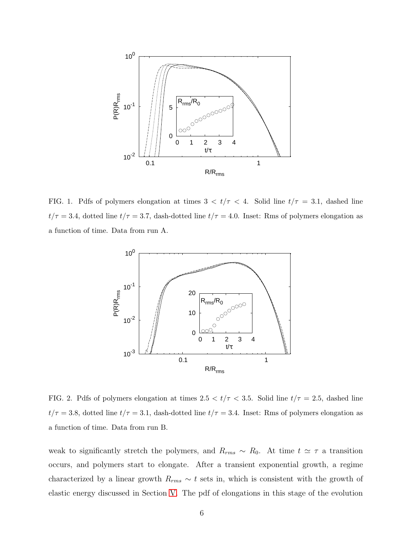

<span id="page-5-0"></span>FIG. 1. Pdfs of polymers elongation at times  $3 < t/\tau < 4$ . Solid line  $t/\tau = 3.1$ , dashed line  $t/\tau = 3.4$ , dotted line  $t/\tau = 3.7$ , dash-dotted line  $t/\tau = 4.0$ . Inset: Rms of polymers elongation as a function of time. Data from run A.



<span id="page-5-1"></span>FIG. 2. Pdfs of polymers elongation at times  $2.5 < t/\tau < 3.5$ . Solid line  $t/\tau = 2.5$ , dashed line  $t/\tau = 3.8$ , dotted line  $t/\tau = 3.1$ , dash-dotted line  $t/\tau = 3.4$ . Inset: Rms of polymers elongation as a function of time. Data from run B.

weak to significantly stretch the polymers, and  $R_{rms} \sim R_0$ . At time  $t \simeq \tau$  a transition occurs, and polymers start to elongate. After a transient exponential growth, a regime characterized by a linear growth  $R_{rms} \sim t$  sets in, which is consistent with the growth of elastic energy discussed in Section [V.](#page-8-0) The pdf of elongations in this stage of the evolution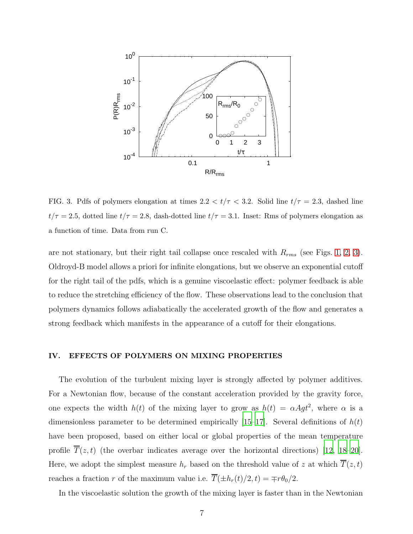

<span id="page-6-1"></span>FIG. 3. Pdfs of polymers elongation at times  $2.2 < t/\tau < 3.2$ . Solid line  $t/\tau = 2.3$ , dashed line  $t/\tau = 2.5$ , dotted line  $t/\tau = 2.8$ , dash-dotted line  $t/\tau = 3.1$ . Inset: Rms of polymers elongation as a function of time. Data from run C.

are not stationary, but their right tail collapse once rescaled with  $R_{rms}$  (see Figs. [1,](#page-5-0) [2,](#page-5-1) [3\)](#page-6-1). Oldroyd-B model allows a priori for infinite elongations, but we observe an exponential cutoff for the right tail of the pdfs, which is a genuine viscoelastic effect: polymer feedback is able to reduce the stretching efficiency of the flow. These observations lead to the conclusion that polymers dynamics follows adiabatically the accelerated growth of the flow and generates a strong feedback which manifests in the appearance of a cutoff for their elongations.

## <span id="page-6-0"></span>IV. EFFECTS OF POLYMERS ON MIXING PROPERTIES

The evolution of the turbulent mixing layer is strongly affected by polymer additives. For a Newtonian flow, because of the constant acceleration provided by the gravity force, one expects the width  $h(t)$  of the mixing layer to grow as  $h(t) = \alpha Agt^2$ , where  $\alpha$  is a dimensionless parameter to be determined empirically [\[15](#page-18-7)[–17\]](#page-18-8). Several definitions of  $h(t)$ have been proposed, based on either local or global properties of the mean temperature profile  $T(z, t)$  (the overbar indicates average over the horizontal directions) [\[12,](#page-18-9) [18](#page-18-10)[–20\]](#page-18-11). Here, we adopt the simplest measure  $h_r$  based on the threshold value of z at which  $\overline{T}(z,t)$ reaches a fraction r of the maximum value i.e.  $\overline{T}(\pm h_r(t)/2, t) = \mp r \theta_0/2$ .

In the viscoelastic solution the growth of the mixing layer is faster than in the Newtonian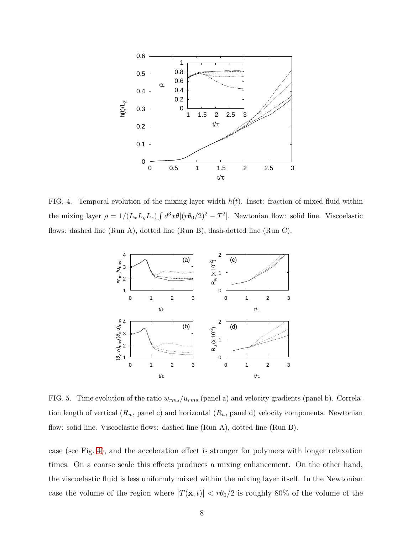

<span id="page-7-0"></span>FIG. 4. Temporal evolution of the mixing layer width  $h(t)$ . Inset: fraction of mixed fluid within the mixing layer  $\rho = 1/(L_x L_y L_z) \int d^3x \theta [(r \theta_0/2)^2 - T^2]$ . Newtonian flow: solid line. Viscoelastic flows: dashed line (Run A), dotted line (Run B), dash-dotted line (Run C).



<span id="page-7-1"></span>FIG. 5. Time evolution of the ratio  $w_{rms}/u_{rms}$  (panel a) and velocity gradients (panel b). Correlation length of vertical  $(R_w,$  panel c) and horizontal  $(R_u,$  panel d) velocity components. Newtonian flow: solid line. Viscoelastic flows: dashed line (Run A), dotted line (Run B).

case (see Fig. [4\)](#page-7-0), and the acceleration effect is stronger for polymers with longer relaxation times. On a coarse scale this effects produces a mixing enhancement. On the other hand, the viscoelastic fluid is less uniformly mixed within the mixing layer itself. In the Newtonian case the volume of the region where  $|T(\mathbf{x}, t)| < r\theta_0/2$  is roughly 80% of the volume of the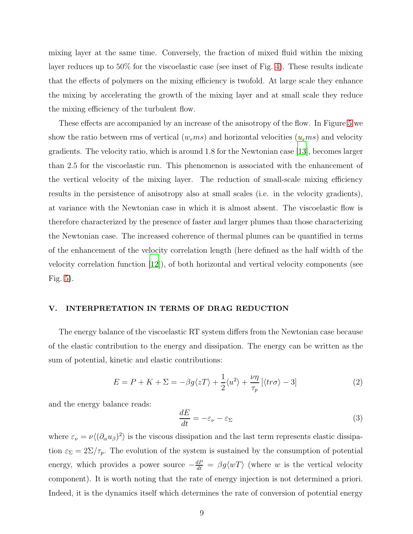mixing layer at the same time. Conversely, the fraction of mixed fluid within the mixing layer reduces up to 50% for the viscoelastic case (see inset of Fig. [4\)](#page-7-0). These results indicate that the effects of polymers on the mixing efficiency is twofold. At large scale they enhance the mixing by accelerating the growth of the mixing layer and at small scale they reduce the mixing efficiency of the turbulent flow.

These effects are accompanied by an increase of the anisotropy of the flow. In Figure [5](#page-7-1) we show the ratio between rms of vertical  $(w_rms)$  and horizontal velocities  $(u_rms)$  and velocity gradients. The velocity ratio, which is around 1.8 for the Newtonian case [\[13\]](#page-18-5), becomes larger than 2.5 for the viscoelastic run. This phenomenon is associated with the enhancement of the vertical velocity of the mixing layer. The reduction of small-scale mixing efficiency results in the persistence of anisotropy also at small scales (i.e. in the velocity gradients), at variance with the Newtonian case in which it is almost absent. The viscoelastic flow is therefore characterized by the presence of faster and larger plumes than those characterizing the Newtonian case. The increased coherence of thermal plumes can be quantified in terms of the enhancement of the velocity correlation length (here defined as the half width of the velocity correlation function [\[12\]](#page-18-9)), of both horizontal and vertical velocity components (see Fig. [5\)](#page-7-1).

# <span id="page-8-0"></span>V. INTERPRETATION IN TERMS OF DRAG REDUCTION

The energy balance of the viscoelastic RT system differs from the Newtonian case because of the elastic contribution to the energy and dissipation. The energy can be written as the sum of potential, kinetic and elastic contributions:

$$
E = P + K + \Sigma = -\beta g \langle zT \rangle + \frac{1}{2} \langle u^2 \rangle + \frac{\nu \eta}{\tau_p} \left[ \langle tr \sigma \rangle - 3 \right] \tag{2}
$$

and the energy balance reads:

<span id="page-8-1"></span>
$$
\frac{dE}{dt} = -\varepsilon_{\nu} - \varepsilon_{\Sigma} \tag{3}
$$

where  $\varepsilon_{\nu} = \nu \langle (\partial_{\alpha} u_{\beta})^2 \rangle$  is the viscous dissipation and the last term represents elastic dissipation  $\varepsilon_{\Sigma} = 2\Sigma/\tau_p$ . The evolution of the system is sustained by the consumption of potential energy, which provides a power source  $-\frac{dP}{dt} = \beta g \langle wT \rangle$  (where w is the vertical velocity component). It is worth noting that the rate of energy injection is not determined a priori. Indeed, it is the dynamics itself which determines the rate of conversion of potential energy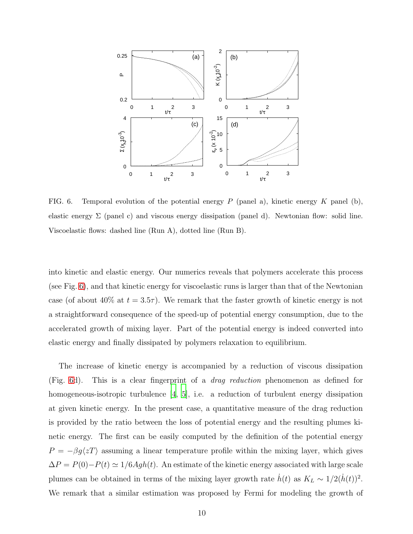

<span id="page-9-0"></span>FIG. 6. Temporal evolution of the potential energy  $P$  (panel a), kinetic energy  $K$  panel (b), elastic energy  $\Sigma$  (panel c) and viscous energy dissipation (panel d). Newtonian flow: solid line. Viscoelastic flows: dashed line (Run A), dotted line (Run B).

into kinetic and elastic energy. Our numerics reveals that polymers accelerate this process (see Fig. [6\)](#page-9-0), and that kinetic energy for viscoelastic runs is larger than that of the Newtonian case (of about 40% at  $t = 3.5\tau$ ). We remark that the faster growth of kinetic energy is not a straightforward consequence of the speed-up of potential energy consumption, due to the accelerated growth of mixing layer. Part of the potential energy is indeed converted into elastic energy and finally dissipated by polymers relaxation to equilibrium.

The increase of kinetic energy is accompanied by a reduction of viscous dissipation (Fig. [6d](#page-9-0)). This is a clear fingerprint of a drag reduction phenomenon as defined for homogeneous-isotropic turbulence [\[4](#page-17-3), [5\]](#page-17-5), i.e. a reduction of turbulent energy dissipation at given kinetic energy. In the present case, a quantitative measure of the drag reduction is provided by the ratio between the loss of potential energy and the resulting plumes kinetic energy. The first can be easily computed by the definition of the potential energy  $P = -\beta g \langle zT \rangle$  assuming a linear temperature profile within the mixing layer, which gives  $\Delta P = P(0) - P(t) \simeq 1/6Agh(t)$ . An estimate of the kinetic energy associated with large scale plumes can be obtained in terms of the mixing layer growth rate  $\dot{h}(t)$  as  $K_L \sim 1/2(\dot{h}(t))^2$ . We remark that a similar estimation was proposed by Fermi for modeling the growth of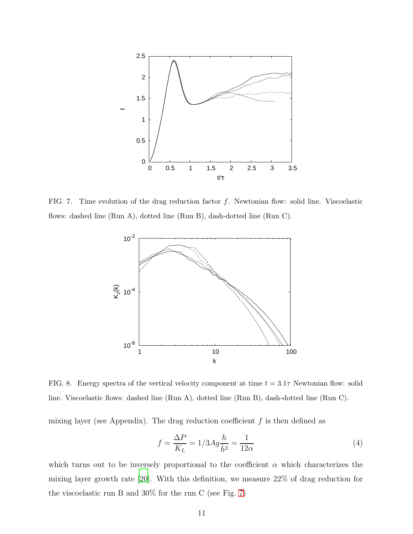

<span id="page-10-0"></span>FIG. 7. Time evolution of the drag reduction factor f. Newtonian flow: solid line. Viscoelastic flows: dashed line (Run A), dotted line (Run B), dash-dotted line (Run C).



<span id="page-10-1"></span>FIG. 8. Energy spectra of the vertical velocity component at time  $t = 3.1\tau$  Newtonian flow: solid line. Viscoelastic flows: dashed line (Run A), dotted line (Run B), dash-dotted line (Run C).

mixing layer (see Appendix). The drag reduction coefficient  $f$  is then defined as

$$
f = \frac{\Delta P}{K_L} = 1/3Ag\frac{h}{\dot{h}^2} = \frac{1}{12\alpha} \tag{4}
$$

which turns out to be inversely proportional to the coefficient  $\alpha$  which characterizes the mixing layer growth rate [\[20\]](#page-18-11). With this definition, we measure 22% of drag reduction for the viscoelastic run B and 30% for the run C (see Fig. [7\)](#page-10-0)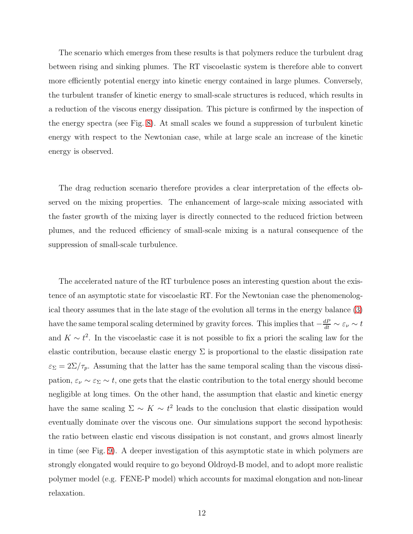The scenario which emerges from these results is that polymers reduce the turbulent drag between rising and sinking plumes. The RT viscoelastic system is therefore able to convert more efficiently potential energy into kinetic energy contained in large plumes. Conversely, the turbulent transfer of kinetic energy to small-scale structures is reduced, which results in a reduction of the viscous energy dissipation. This picture is confirmed by the inspection of the energy spectra (see Fig. [8\)](#page-10-1). At small scales we found a suppression of turbulent kinetic energy with respect to the Newtonian case, while at large scale an increase of the kinetic energy is observed.

The drag reduction scenario therefore provides a clear interpretation of the effects observed on the mixing properties. The enhancement of large-scale mixing associated with the faster growth of the mixing layer is directly connected to the reduced friction between plumes, and the reduced efficiency of small-scale mixing is a natural consequence of the suppression of small-scale turbulence.

The accelerated nature of the RT turbulence poses an interesting question about the existence of an asymptotic state for viscoelastic RT. For the Newtonian case the phenomenological theory assumes that in the late stage of the evolution all terms in the energy balance [\(3\)](#page-8-1) have the same temporal scaling determined by gravity forces. This implies that  $-\frac{dP}{dt} \sim \varepsilon_{\nu} \sim t$ and  $K \sim t^2$ . In the viscoelastic case it is not possible to fix a priori the scaling law for the elastic contribution, because elastic energy  $\Sigma$  is proportional to the elastic dissipation rate  $\varepsilon_{\Sigma} = 2\Sigma/\tau_p$ . Assuming that the latter has the same temporal scaling than the viscous dissipation,  $\varepsilon_{\nu} \sim \varepsilon_{\Sigma} \sim t$ , one gets that the elastic contribution to the total energy should become negligible at long times. On the other hand, the assumption that elastic and kinetic energy have the same scaling  $\Sigma \sim K \sim t^2$  leads to the conclusion that elastic dissipation would eventually dominate over the viscous one. Our simulations support the second hypothesis: the ratio between elastic end viscous dissipation is not constant, and grows almost linearly in time (see Fig. [9\)](#page-12-1). A deeper investigation of this asymptotic state in which polymers are strongly elongated would require to go beyond Oldroyd-B model, and to adopt more realistic polymer model (e.g. FENE-P model) which accounts for maximal elongation and non-linear relaxation.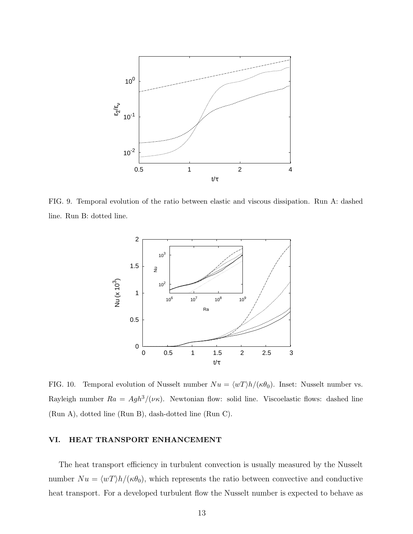

<span id="page-12-1"></span>FIG. 9. Temporal evolution of the ratio between elastic and viscous dissipation. Run A: dashed line. Run B: dotted line.



<span id="page-12-2"></span>FIG. 10. Temporal evolution of Nusselt number  $Nu = \langle wT \rangle h / (\kappa \theta_0)$ . Inset: Nusselt number vs. Rayleigh number  $Ra = Agh^3/(\nu\kappa)$ . Newtonian flow: solid line. Viscoelastic flows: dashed line (Run A), dotted line (Run B), dash-dotted line (Run C).

# <span id="page-12-0"></span>VI. HEAT TRANSPORT ENHANCEMENT

The heat transport efficiency in turbulent convection is usually measured by the Nusselt number  $Nu = \langle wT \rangle h / (\kappa \theta_0)$ , which represents the ratio between convective and conductive heat transport. For a developed turbulent flow the Nusselt number is expected to behave as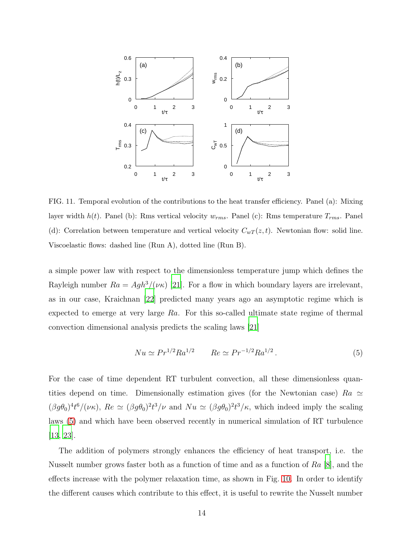

<span id="page-13-1"></span>FIG. 11. Temporal evolution of the contributions to the heat transfer efficiency. Panel (a): Mixing layer width  $h(t)$ . Panel (b): Rms vertical velocity  $w_{rms}$ . Panel (c): Rms temperature  $T_{rms}$ . Panel (d): Correlation between temperature and vertical velocity  $C_{wT}(z,t)$ . Newtonian flow: solid line. Viscoelastic flows: dashed line (Run A), dotted line (Run B).

a simple power law with respect to the dimensionless temperature jump which defines the Rayleigh number  $Ra = Agh^3/(\nu\kappa)$  [\[21](#page-18-12)]. For a flow in which boundary layers are irrelevant, as in our case, Kraichnan [\[22](#page-18-13)] predicted many years ago an asymptotic regime which is expected to emerge at very large  $Ra$ . For this so-called ultimate state regime of thermal convection dimensional analysis predicts the scaling laws [\[21\]](#page-18-12)

<span id="page-13-0"></span>
$$
Nu \simeq Pr^{1/2}Ra^{1/2} \qquad Re \simeq Pr^{-1/2}Ra^{1/2} \,. \tag{5}
$$

For the case of time dependent RT turbulent convection, all these dimensionless quantities depend on time. Dimensionally estimation gives (for the Newtonian case)  $Ra \simeq$  $(\beta g \theta_0)^4 t^6 / (\nu \kappa)$ ,  $Re \simeq (\beta g \theta_0)^2 t^3 / \nu$  and  $Nu \simeq (\beta g \theta_0)^2 t^3 / \kappa$ , which indeed imply the scaling laws [\(5\)](#page-13-0) and which have been observed recently in numerical simulation of RT turbulence [\[13](#page-18-5), [23\]](#page-18-14).

The addition of polymers strongly enhances the efficiency of heat transport, i.e. the Nusselt number grows faster both as a function of time and as a function of Ra [\[8](#page-18-1)], and the effects increase with the polymer relaxation time, as shown in Fig. [10.](#page-12-2) In order to identify the different causes which contribute to this effect, it is useful to rewrite the Nusselt number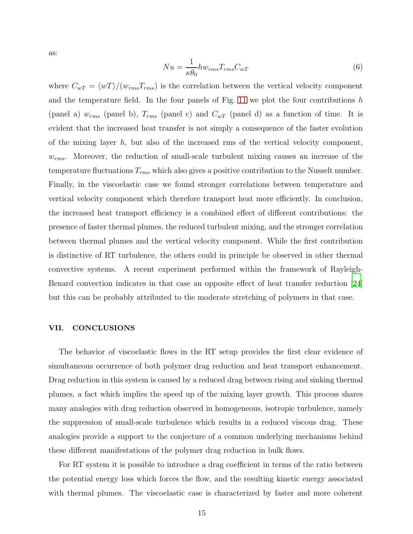as:

$$
Nu = \frac{1}{\kappa \theta_0} hw_{rms} T_{rms} C_{wT}
$$
\n(6)

where  $C_{wT} = \langle wT \rangle / (w_{rms}T_{rms})$  is the correlation between the vertical velocity component and the temperature field. In the four panels of Fig. [11](#page-13-1) we plot the four contributions  $h$ (panel a)  $w_{rms}$  (panel b),  $T_{rms}$  (panel c) and  $C_{wT}$  (panel d) as a function of time. It is evident that the increased heat transfer is not simply a consequence of the faster evolution of the mixing layer  $h$ , but also of the increased rms of the vertical velocity component,  $w_{rms}$ . Moreover, the reduction of small-scale turbulent mixing causes an increase of the temperature fluctuations  $T_{rms}$  which also gives a positive contribution to the Nusselt number. Finally, in the viscoelastic case we found stronger correlations between temperature and vertical velocity component which therefore transport heat more efficiently. In conclusion, the increased heat transport efficiency is a combined effect of different contributions: the presence of faster thermal plumes, the reduced turbulent mixing, and the stronger correlation between thermal plumes and the vertical velocity component. While the first contribution is distinctive of RT turbulence, the others could in principle be observed in other thermal convective systems. A recent experiment performed within the framework of Rayleigh-Benard convection indicates in that case an opposite effect of heat transfer reduction [\[24\]](#page-18-15) but this can be probably attributed to the moderate stretching of polymers in that case.

## VII. CONCLUSIONS

The behavior of viscoelastic flows in the RT setup provides the first clear evidence of simultaneous occurrence of both polymer drag reduction and heat transport enhancement. Drag reduction in this system is caused by a reduced drag between rising and sinking thermal plumes, a fact which implies the speed up of the mixing layer growth. This process shares many analogies with drag reduction observed in homogeneous, isotropic turbulence, namely the suppression of small-scale turbulence which results in a reduced viscous drag. These analogies provide a support to the conjecture of a common underlying mechanisms behind these different manifestations of the polymer drag reduction in bulk flows.

For RT system it is possible to introduce a drag coefficient in terms of the ratio between the potential energy loss which forces the flow, and the resulting kinetic energy associated with thermal plumes. The viscoelastic case is characterized by faster and more coherent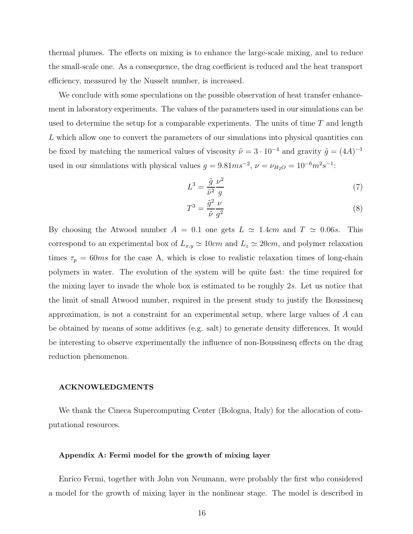thermal plumes. The effects on mixing is to enhance the large-scale mixing, and to reduce the small-scale one. As a consequence, the drag coefficient is reduced and the heat transport efficiency, measured by the Nusselt number, is increased.

We conclude with some speculations on the possible observation of heat transfer enhancement in laboratory experiments. The values of the parameters used in our simulations can be used to determine the setup for a comparable experiments. The units of time  $T$  and length L which allow one to convert the parameters of our simulations into physical quantities can be fixed by matching the numerical values of viscosity  $\tilde{\nu} = 3 \cdot 10^{-4}$  and gravity  $\tilde{g} = (4A)^{-1}$ used in our simulations with physical values  $g = 9.81ms^{-2}$ ,  $\nu = \nu_{H_2O} = 10^{-6}m^2s^{-1}$ :

$$
L^3 = \frac{\tilde{g}}{\tilde{\nu}^2} \frac{\nu^2}{g} \tag{7}
$$

$$
T^3 = \frac{\tilde{g}^2}{\tilde{\nu}} \frac{\nu}{g^2} \tag{8}
$$

By choosing the Atwood number  $A = 0.1$  one gets  $L \approx 1.4$ cm and  $T \approx 0.06$ s. This correspond to an experimental box of  $L_{x,y} \simeq 10cm$  and  $L_z \simeq 20cm$ , and polymer relaxation times  $\tau_p = 60 \text{ms}$  for the case A, which is close to realistic relaxation times of long-chain polymers in water. The evolution of the system will be quite fast: the time required for the mixing layer to invade the whole box is estimated to be roughly 2s. Let us notice that the limit of small Atwood number, required in the present study to justify the Boussinesq approximation, is not a constraint for an experimental setup, where large values of A can be obtained by means of some additives (e.g. salt) to generate density differences. It would be interesting to observe experimentally the influence of non-Boussinesq effects on the drag reduction phenomenon.

#### ACKNOWLEDGMENTS

We thank the Cineca Supercomputing Center (Bologna, Italy) for the allocation of computational resources.

#### Appendix A: Fermi model for the growth of mixing layer

Enrico Fermi, together with John von Neumann, were probably the first who considered a model for the growth of mixing layer in the nonlinear stage. The model is described in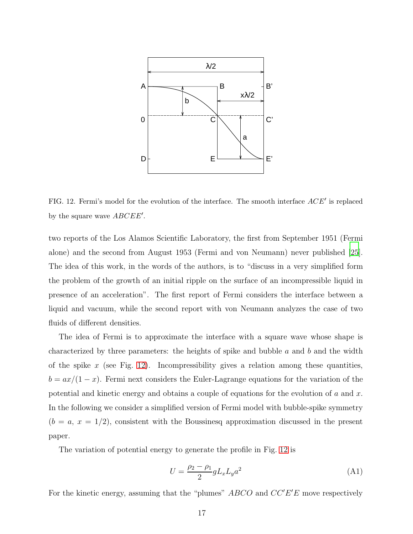

<span id="page-16-0"></span>FIG. 12. Fermi's model for the evolution of the interface. The smooth interface  $ACE'$  is replaced by the square wave  $ABCDEE'$ .

two reports of the Los Alamos Scientific Laboratory, the first from September 1951 (Fermi alone) and the second from August 1953 (Fermi and von Neumann) never published [\[25\]](#page-18-16). The idea of this work, in the words of the authors, is to "discuss in a very simplified form the problem of the growth of an initial ripple on the surface of an incompressible liquid in presence of an acceleration". The first report of Fermi considers the interface between a liquid and vacuum, while the second report with von Neumann analyzes the case of two fluids of different densities.

The idea of Fermi is to approximate the interface with a square wave whose shape is characterized by three parameters: the heights of spike and bubble  $a$  and  $b$  and the width of the spike x (see Fig. [12\)](#page-16-0). Incompressibility gives a relation among these quantities,  $b = ax/(1-x)$ . Fermi next considers the Euler-Lagrange equations for the variation of the potential and kinetic energy and obtains a couple of equations for the evolution of  $a$  and  $x$ . In the following we consider a simplified version of Fermi model with bubble-spike symmetry  $(b = a, x = 1/2)$ , consistent with the Boussinesq approximation discussed in the present paper.

The variation of potential energy to generate the profile in Fig. [12](#page-16-0) is

$$
U = \frac{\rho_2 - \rho_1}{2} g L_x L_y a^2 \tag{A1}
$$

For the kinetic energy, assuming that the "plumes"  $ABCO$  and  $CC'E'E$  move respectively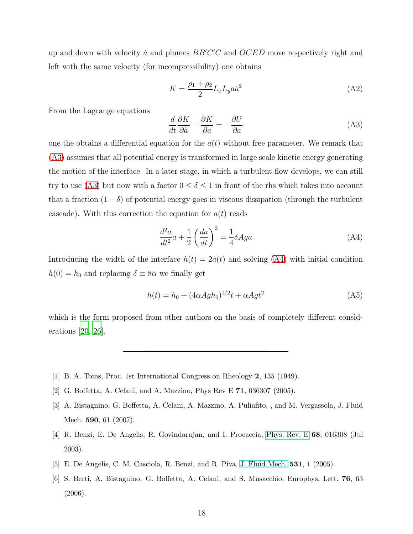up and down with velocity  $\dot{a}$  and plumes  $BB'C'C$  and  $OCED$  move respectively right and left with the same velocity (for incompressibility) one obtains

$$
K = \frac{\rho_1 + \rho_2}{2} L_x L_y a \dot{a}^2 \tag{A2}
$$

From the Lagrange equations

<span id="page-17-6"></span>
$$
\frac{d}{dt}\frac{\partial K}{\partial \dot{a}} - \frac{\partial K}{\partial a} = -\frac{\partial U}{\partial a} \tag{A3}
$$

one the obtains a differential equation for the  $a(t)$  without free parameter. We remark that [\(A3\)](#page-17-6) assumes that all potential energy is transformed in large scale kinetic energy generating the motion of the interface. In a later stage, in which a turbulent flow develops, we can still try to use [\(A3\)](#page-17-6) but now with a factor  $0 \le \delta \le 1$  in front of the rhs which takes into account that a fraction  $(1 - \delta)$  of potential energy goes in viscous dissipation (through the turbulent cascade). With this correction the equation for  $a(t)$  reads

<span id="page-17-7"></span>
$$
\frac{d^2a}{dt^2}a + \frac{1}{2}\left(\frac{da}{dt}\right)^2 = \frac{1}{4}\delta A g a\tag{A4}
$$

Introducing the width of the interface  $h(t) = 2a(t)$  and solving [\(A4\)](#page-17-7) with initial condition  $h(0) = h_0$  and replacing  $\delta \equiv 8\alpha$  we finally get

$$
h(t) = h_0 + (4\alpha A g h_0)^{1/2} t + \alpha A g t^2
$$
 (A5)

which is the form proposed from other authors on the basis of completely different considerations [\[20](#page-18-11), [26](#page-18-17)].

- <span id="page-17-0"></span>[1] B. A. Toms, Proc. 1st International Congress on Rheology 2, 135 (1949).
- <span id="page-17-2"></span><span id="page-17-1"></span>[2] G. Boffetta, A. Celani, and A. Mazzino, Phys Rev E 71, 036307 (2005).
- [3] A. Bistagnino, G. Boffetta, A. Celani, A. Mazzino, A. Puliafito, , and M. Vergassola, J. Fluid Mech. 590, 61 (2007).
- <span id="page-17-3"></span>[4] R. Benzi, E. De Angelis, R. Govindarajan, and I. Procaccia, [Phys. Rev. E](http://dx.doi.org/10.1103/PhysRevE.68.016308) 68, 016308 (Jul 2003).
- <span id="page-17-5"></span>[5] E. De Angelis, C. M. Casciola, R. Benzi, and R. Piva, [J. Fluid Mech.](http://dx.doi.org/10.1017/S0022112005003666) 531, 1 (2005).
- <span id="page-17-4"></span>[6] S. Berti, A. Bistagnino, G. Boffetta, A. Celani, and S. Musacchio, Europhys. Lett. 76, 63 (2006).